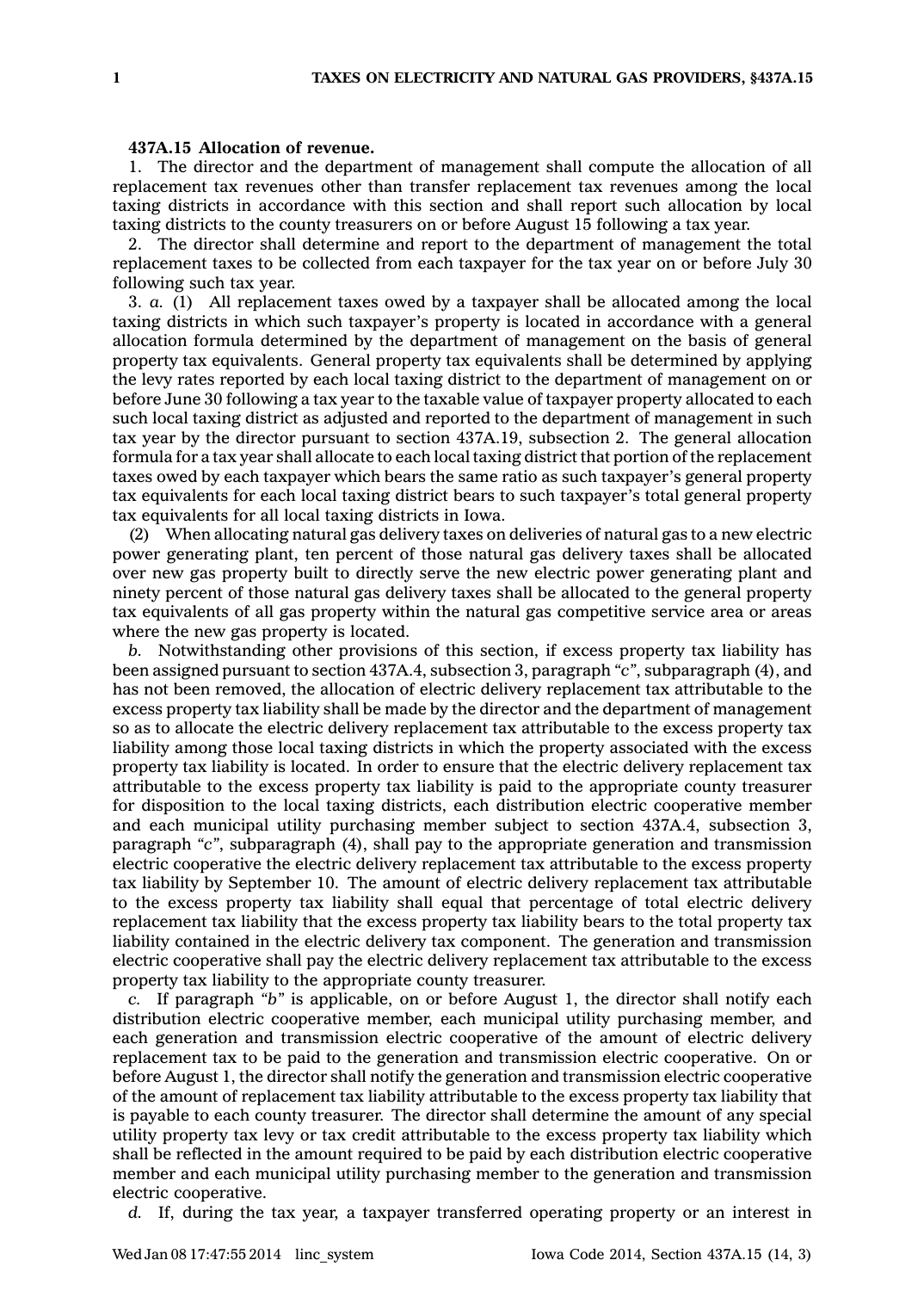## **437A.15 Allocation of revenue.**

1. The director and the department of management shall compute the allocation of all replacement tax revenues other than transfer replacement tax revenues among the local taxing districts in accordance with this section and shall report such allocation by local taxing districts to the county treasurers on or before August 15 following <sup>a</sup> tax year.

2. The director shall determine and report to the department of management the total replacement taxes to be collected from each taxpayer for the tax year on or before July 30 following such tax year.

3. *a.* (1) All replacement taxes owed by <sup>a</sup> taxpayer shall be allocated among the local taxing districts in which such taxpayer's property is located in accordance with <sup>a</sup> general allocation formula determined by the department of management on the basis of general property tax equivalents. General property tax equivalents shall be determined by applying the levy rates reported by each local taxing district to the department of management on or before June 30 following <sup>a</sup> tax year to the taxable value of taxpayer property allocated to each such local taxing district as adjusted and reported to the department of management in such tax year by the director pursuant to section 437A.19, subsection 2. The general allocation formula for <sup>a</sup> tax year shall allocate to each local taxing district that portion of the replacement taxes owed by each taxpayer which bears the same ratio as such taxpayer's general property tax equivalents for each local taxing district bears to such taxpayer's total general property tax equivalents for all local taxing districts in Iowa.

(2) When allocating natural gas delivery taxes on deliveries of natural gas to <sup>a</sup> new electric power generating plant, ten percent of those natural gas delivery taxes shall be allocated over new gas property built to directly serve the new electric power generating plant and ninety percent of those natural gas delivery taxes shall be allocated to the general property tax equivalents of all gas property within the natural gas competitive service area or areas where the new gas property is located.

*b.* Notwithstanding other provisions of this section, if excess property tax liability has been assigned pursuant to section 437A.4, subsection 3, paragraph *"c"*, subparagraph (4), and has not been removed, the allocation of electric delivery replacement tax attributable to the excess property tax liability shall be made by the director and the department of management so as to allocate the electric delivery replacement tax attributable to the excess property tax liability among those local taxing districts in which the property associated with the excess property tax liability is located. In order to ensure that the electric delivery replacement tax attributable to the excess property tax liability is paid to the appropriate county treasurer for disposition to the local taxing districts, each distribution electric cooperative member and each municipal utility purchasing member subject to section 437A.4, subsection 3, paragraph *"c"*, subparagraph (4), shall pay to the appropriate generation and transmission electric cooperative the electric delivery replacement tax attributable to the excess property tax liability by September 10. The amount of electric delivery replacement tax attributable to the excess property tax liability shall equal that percentage of total electric delivery replacement tax liability that the excess property tax liability bears to the total property tax liability contained in the electric delivery tax component. The generation and transmission electric cooperative shall pay the electric delivery replacement tax attributable to the excess property tax liability to the appropriate county treasurer.

*c.* If paragraph *"b"* is applicable, on or before August 1, the director shall notify each distribution electric cooperative member, each municipal utility purchasing member, and each generation and transmission electric cooperative of the amount of electric delivery replacement tax to be paid to the generation and transmission electric cooperative. On or before August 1, the director shall notify the generation and transmission electric cooperative of the amount of replacement tax liability attributable to the excess property tax liability that is payable to each county treasurer. The director shall determine the amount of any special utility property tax levy or tax credit attributable to the excess property tax liability which shall be reflected in the amount required to be paid by each distribution electric cooperative member and each municipal utility purchasing member to the generation and transmission electric cooperative.

*d.* If, during the tax year, <sup>a</sup> taxpayer transferred operating property or an interest in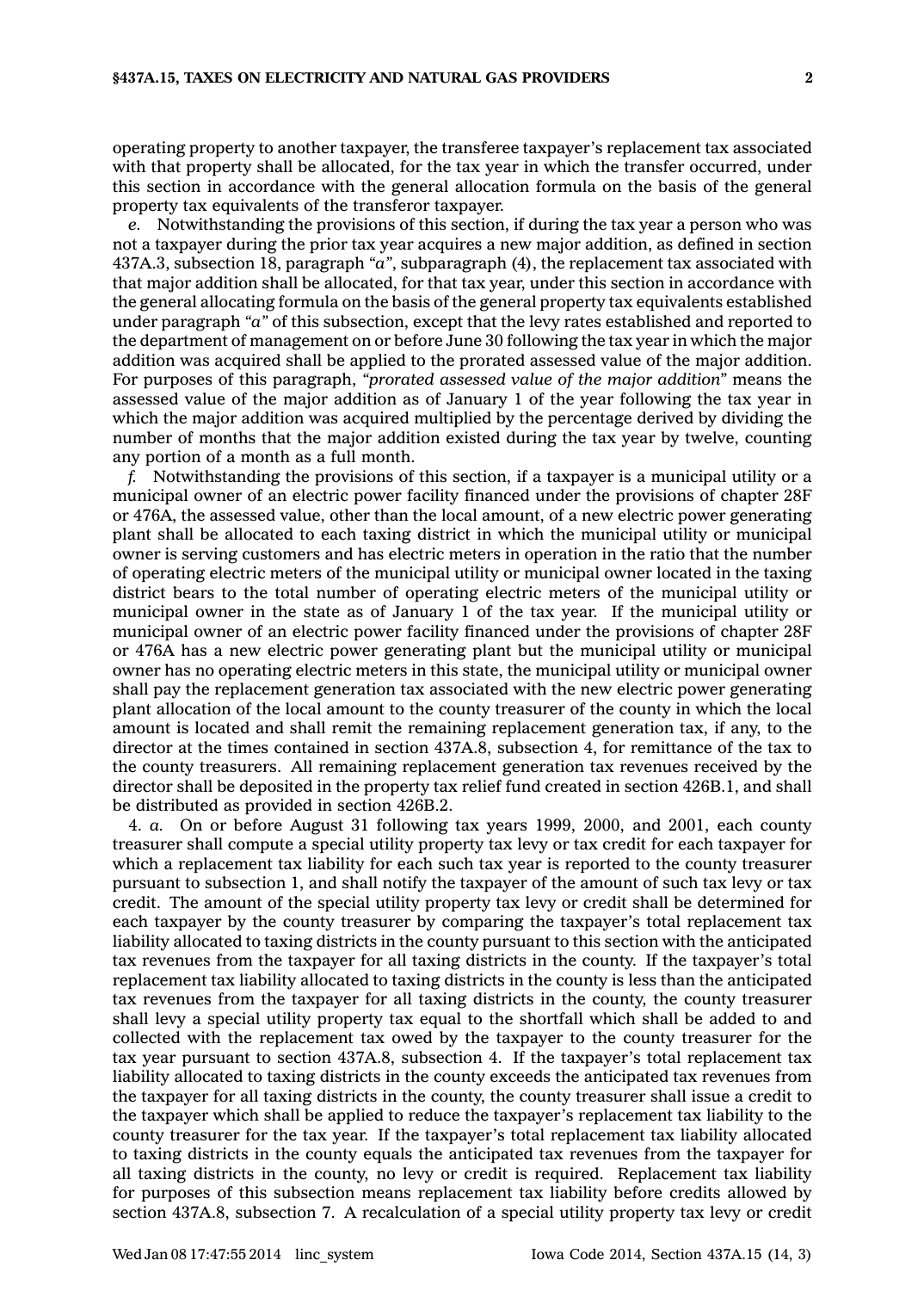operating property to another taxpayer, the transferee taxpayer's replacement tax associated with that property shall be allocated, for the tax year in which the transfer occurred, under this section in accordance with the general allocation formula on the basis of the general property tax equivalents of the transferor taxpayer.

*e.* Notwithstanding the provisions of this section, if during the tax year <sup>a</sup> person who was not <sup>a</sup> taxpayer during the prior tax year acquires <sup>a</sup> new major addition, as defined in section 437A.3, subsection 18, paragraph *"a"*, subparagraph (4), the replacement tax associated with that major addition shall be allocated, for that tax year, under this section in accordance with the general allocating formula on the basis of the general property tax equivalents established under paragraph *"a"* of this subsection, except that the levy rates established and reported to the department of management on or before June 30 following the tax year in which the major addition was acquired shall be applied to the prorated assessed value of the major addition. For purposes of this paragraph, *"prorated assessed value of the major addition"* means the assessed value of the major addition as of January 1 of the year following the tax year in which the major addition was acquired multiplied by the percentage derived by dividing the number of months that the major addition existed during the tax year by twelve, counting any portion of <sup>a</sup> month as <sup>a</sup> full month.

*f.* Notwithstanding the provisions of this section, if <sup>a</sup> taxpayer is <sup>a</sup> municipal utility or <sup>a</sup> municipal owner of an electric power facility financed under the provisions of chapter 28F or 476A, the assessed value, other than the local amount, of <sup>a</sup> new electric power generating plant shall be allocated to each taxing district in which the municipal utility or municipal owner is serving customers and has electric meters in operation in the ratio that the number of operating electric meters of the municipal utility or municipal owner located in the taxing district bears to the total number of operating electric meters of the municipal utility or municipal owner in the state as of January 1 of the tax year. If the municipal utility or municipal owner of an electric power facility financed under the provisions of chapter 28F or 476A has <sup>a</sup> new electric power generating plant but the municipal utility or municipal owner has no operating electric meters in this state, the municipal utility or municipal owner shall pay the replacement generation tax associated with the new electric power generating plant allocation of the local amount to the county treasurer of the county in which the local amount is located and shall remit the remaining replacement generation tax, if any, to the director at the times contained in section 437A.8, subsection 4, for remittance of the tax to the county treasurers. All remaining replacement generation tax revenues received by the director shall be deposited in the property tax relief fund created in section 426B.1, and shall be distributed as provided in section 426B.2.

4. *a.* On or before August 31 following tax years 1999, 2000, and 2001, each county treasurer shall compute <sup>a</sup> special utility property tax levy or tax credit for each taxpayer for which <sup>a</sup> replacement tax liability for each such tax year is reported to the county treasurer pursuant to subsection 1, and shall notify the taxpayer of the amount of such tax levy or tax credit. The amount of the special utility property tax levy or credit shall be determined for each taxpayer by the county treasurer by comparing the taxpayer's total replacement tax liability allocated to taxing districts in the county pursuant to this section with the anticipated tax revenues from the taxpayer for all taxing districts in the county. If the taxpayer's total replacement tax liability allocated to taxing districts in the county is less than the anticipated tax revenues from the taxpayer for all taxing districts in the county, the county treasurer shall levy <sup>a</sup> special utility property tax equal to the shortfall which shall be added to and collected with the replacement tax owed by the taxpayer to the county treasurer for the tax year pursuant to section 437A.8, subsection 4. If the taxpayer's total replacement tax liability allocated to taxing districts in the county exceeds the anticipated tax revenues from the taxpayer for all taxing districts in the county, the county treasurer shall issue <sup>a</sup> credit to the taxpayer which shall be applied to reduce the taxpayer's replacement tax liability to the county treasurer for the tax year. If the taxpayer's total replacement tax liability allocated to taxing districts in the county equals the anticipated tax revenues from the taxpayer for all taxing districts in the county, no levy or credit is required. Replacement tax liability for purposes of this subsection means replacement tax liability before credits allowed by section 437A.8, subsection 7. A recalculation of <sup>a</sup> special utility property tax levy or credit